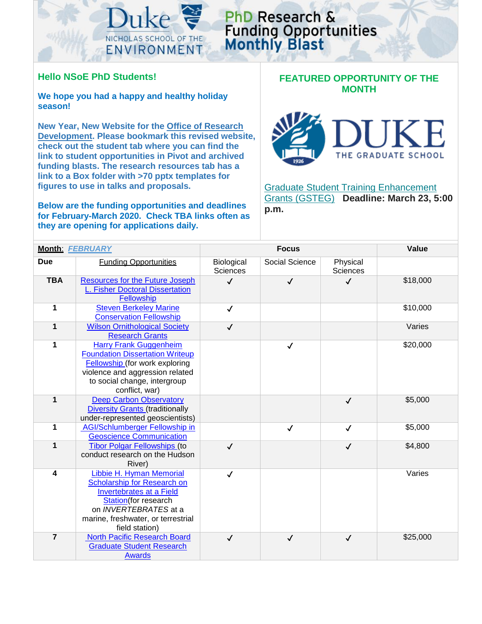

## PhD Research & **Funding Opportunities**<br>Monthly Blast

## **Hello NSoE PhD Students!**

**We hope you had a happy and healthy holiday season!** 

**New Year, New Website for the [Office of Research](https://sites.nicholas.duke.edu/nsoeresearchdev/)  [Development.](https://sites.nicholas.duke.edu/nsoeresearchdev/) Please bookmark this revised website, check out the student tab where you can find the link to student opportunities in Pivot and archived funding blasts. The research resources tab has a link to a Box folder with >70 pptx templates for figures to use in talks and proposals.**

**Below are the funding opportunities and deadlines for February-March 2020. Check TBA links often as they are opening for applications daily.** 

## **FEATURED OPPORTUNITY OF THE MONTH**



**Graduate Student Training Enhancement** [Grants \(GSTEG\)](https://sites.duke.edu/interdisciplinary/2020/01/14/propose-an-internship-workshop-or-field-research-through-graduate-student-training-enhancement-grants/) **Deadline: March 23, 5:00 p.m.**

| Month: FEBRUARY         |                                                                                                                                                                                                     | <b>Focus</b>                  |                |                             | Value    |
|-------------------------|-----------------------------------------------------------------------------------------------------------------------------------------------------------------------------------------------------|-------------------------------|----------------|-----------------------------|----------|
| <b>Due</b>              | <b>Funding Opportunities</b>                                                                                                                                                                        | Biological<br><b>Sciences</b> | Social Science | Physical<br><b>Sciences</b> |          |
| <b>TBA</b>              | <b>Resources for the Future Joseph</b><br><b>L. Fisher Doctoral Dissertation</b><br>Fellowship                                                                                                      | $\checkmark$                  | $\checkmark$   | $\checkmark$                | \$18,000 |
| 1                       | <b>Steven Berkeley Marine</b><br><b>Conservation Fellowship</b>                                                                                                                                     | $\checkmark$                  |                |                             | \$10,000 |
| $\mathbf 1$             | <b>Wilson Ornithological Society</b><br><b>Research Grants</b>                                                                                                                                      | $\checkmark$                  |                |                             | Varies   |
| 1                       | <b>Harry Frank Guggenheim</b><br><b>Foundation Dissertation Writeup</b><br>Fellowship (for work exploring<br>violence and aggression related<br>to social change, intergroup<br>conflict, war)      |                               | $\checkmark$   |                             | \$20,000 |
| 1                       | <b>Deep Carbon Observatory</b><br><b>Diversity Grants (traditionally</b><br>under-represented geoscientists)                                                                                        |                               |                | $\checkmark$                | \$5,000  |
| 1                       | <b>AGI/Schlumberger Fellowship in</b><br><b>Geoscience Communication</b>                                                                                                                            |                               | $\checkmark$   | $\checkmark$                | \$5,000  |
| $\mathbf 1$             | <b>Tibor Polgar Fellowships (to</b><br>conduct research on the Hudson<br>River)                                                                                                                     | $\checkmark$                  |                | $\checkmark$                | \$4,800  |
| $\overline{\mathbf{4}}$ | Libbie H. Hyman Memorial<br>Scholarship for Research on<br><b>Invertebrates at a Field</b><br>Station(for research<br>on INVERTEBRATES at a<br>marine, freshwater, or terrestrial<br>field station) | $\checkmark$                  |                |                             | Varies   |
| $\overline{7}$          | <b>North Pacific Research Board</b><br><b>Graduate Student Research</b><br><b>Awards</b>                                                                                                            | $\checkmark$                  | $\checkmark$   | $\checkmark$                | \$25,000 |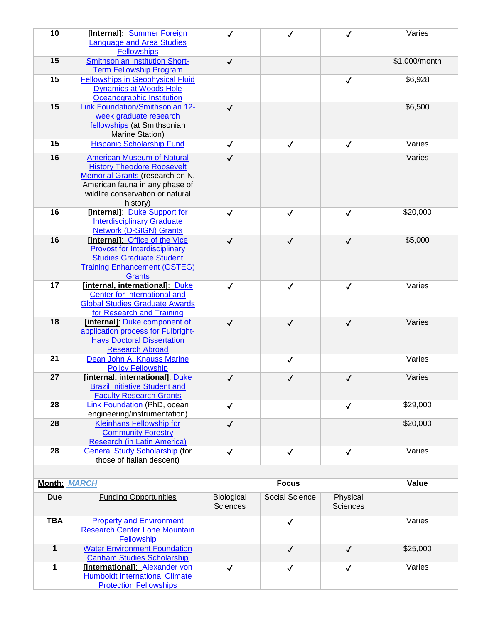| 10                  | [Internal]: Summer Foreign<br><b>Language and Area Studies</b><br><b>Fellowships</b>                                                                                                        | ✓                             |                | ✓                           | Varies        |
|---------------------|---------------------------------------------------------------------------------------------------------------------------------------------------------------------------------------------|-------------------------------|----------------|-----------------------------|---------------|
| 15                  | <b>Smithsonian Institution Short-</b><br><b>Term Fellowship Program</b>                                                                                                                     | $\checkmark$                  |                |                             | \$1,000/month |
| 15                  | <b>Fellowships in Geophysical Fluid</b><br><b>Dynamics at Woods Hole</b><br>Oceanographic Institution                                                                                       |                               |                | $\checkmark$                | \$6,928       |
| 15                  | Link Foundation/Smithsonian 12-<br>week graduate research<br>fellowships (at Smithsonian<br>Marine Station)                                                                                 | $\checkmark$                  |                |                             | \$6,500       |
| 15                  | <b>Hispanic Scholarship Fund</b>                                                                                                                                                            | $\checkmark$                  | $\checkmark$   | $\checkmark$                | Varies        |
| 16                  | <b>American Museum of Natural</b><br><b>History Theodore Roosevelt</b><br>Memorial Grants (research on N.<br>American fauna in any phase of<br>wildlife conservation or natural<br>history) | $\checkmark$                  |                |                             | Varies        |
| 16                  | [internal]: Duke Support for<br><b>Interdisciplinary Graduate</b><br><b>Network (D-SIGN) Grants</b>                                                                                         | $\checkmark$                  | $\checkmark$   | $\checkmark$                | \$20,000      |
| 16                  | [internal]: Office of the Vice<br><b>Provost for Interdisciplinary</b><br><b>Studies Graduate Student</b><br><b>Training Enhancement (GSTEG)</b><br><b>Grants</b>                           | $\checkmark$                  | $\checkmark$   | $\checkmark$                | \$5,000       |
| 17                  | [internal, international]: Duke<br><b>Center for International and</b><br><b>Global Studies Graduate Awards</b><br>for Research and Training                                                | $\checkmark$                  | $\checkmark$   | $\checkmark$                | Varies        |
| 18                  | [internal]: Duke component of<br>application process for Fulbright-<br><b>Hays Doctoral Dissertation</b><br><b>Research Abroad</b>                                                          | $\checkmark$                  | $\checkmark$   | $\checkmark$                | Varies        |
| 21                  | Dean John A. Knauss Marine<br><b>Policy Fellowship</b>                                                                                                                                      |                               | $\checkmark$   |                             | Varies        |
| 27                  | [internal, international]: Duke<br><b>Brazil Initiative Student and</b><br><b>Faculty Research Grants</b>                                                                                   | $\checkmark$                  | $\checkmark$   | $\checkmark$                | Varies        |
| 28                  | Link Foundation (PhD, ocean<br>engineering/instrumentation)                                                                                                                                 | $\checkmark$                  |                | $\checkmark$                | \$29,000      |
| 28                  | <b>Kleinhans Fellowship for</b><br><b>Community Forestry</b><br><b>Research (in Latin America)</b>                                                                                          | $\checkmark$                  |                |                             | \$20,000      |
| 28                  | <b>General Study Scholarship (for</b><br>those of Italian descent)                                                                                                                          | $\checkmark$                  | $\checkmark$   | $\checkmark$                | Varies        |
|                     |                                                                                                                                                                                             |                               |                |                             |               |
| <b>Month: MARCH</b> |                                                                                                                                                                                             | <b>Focus</b>                  |                |                             | Value         |
| <b>Due</b>          | <b>Funding Opportunities</b>                                                                                                                                                                | Biological<br><b>Sciences</b> | Social Science | Physical<br><b>Sciences</b> |               |
| <b>TBA</b>          | <b>Property and Environment</b><br><b>Research Center Lone Mountain</b><br>Fellowship                                                                                                       |                               | ✓              |                             | Varies        |
| $\mathbf{1}$        | <b>Water Environment Foundation</b><br><b>Canham Studies Scholarship</b>                                                                                                                    |                               | $\checkmark$   | $\checkmark$                | \$25,000      |
| 1                   | <b>linternationall: Alexander von</b><br><b>Humboldt International Climate</b><br><b>Protection Fellowships</b>                                                                             | $\checkmark$                  | ✓              | $\checkmark$                | Varies        |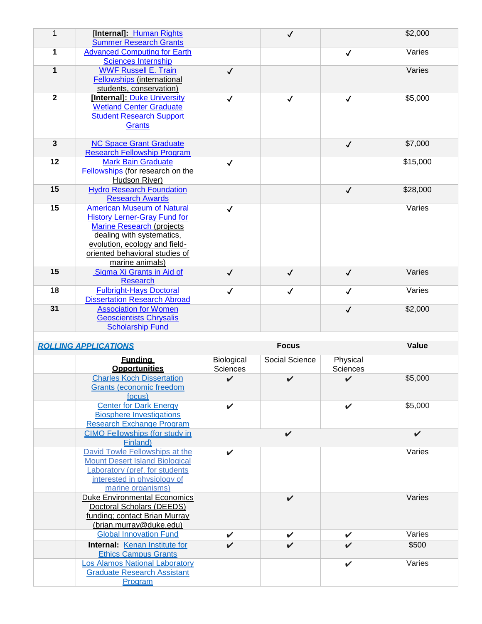| $\mathbf{1}$                | [Internal]: Human Rights<br><b>Summer Research Grants</b>           |                 | $\checkmark$   |              | \$2,000  |  |
|-----------------------------|---------------------------------------------------------------------|-----------------|----------------|--------------|----------|--|
| 1                           | <b>Advanced Computing for Earth</b>                                 |                 |                | $\checkmark$ | Varies   |  |
|                             | <b>Sciences Internship</b>                                          |                 |                |              |          |  |
| $\mathbf 1$                 | <b>WWF Russell E. Train</b>                                         | $\checkmark$    |                |              | Varies   |  |
|                             | <b>Fellowships (international</b><br>students, conservation)        |                 |                |              |          |  |
| $\overline{2}$              | [Internal]: Duke University                                         | $\checkmark$    | $\checkmark$   | $\checkmark$ | \$5,000  |  |
|                             | <b>Wetland Center Graduate</b>                                      |                 |                |              |          |  |
|                             | <b>Student Research Support</b>                                     |                 |                |              |          |  |
|                             | <b>Grants</b>                                                       |                 |                |              |          |  |
|                             |                                                                     |                 |                |              |          |  |
| $\overline{\mathbf{3}}$     | <b>NC Space Grant Graduate</b>                                      |                 |                | $\checkmark$ | \$7,000  |  |
|                             | <b>Research Fellowship Program</b>                                  |                 |                |              |          |  |
| 12                          | <b>Mark Bain Graduate</b>                                           | $\checkmark$    |                |              | \$15,000 |  |
|                             | Fellowships (for research on the<br>Hudson River)                   |                 |                |              |          |  |
| 15                          | <b>Hydro Research Foundation</b>                                    |                 |                | $\checkmark$ | \$28,000 |  |
|                             | <b>Research Awards</b>                                              |                 |                |              |          |  |
| 15                          | <b>American Museum of Natural</b>                                   | ✓               |                |              | Varies   |  |
|                             | <b>History Lerner-Gray Fund for</b>                                 |                 |                |              |          |  |
|                             | <b>Marine Research (projects</b>                                    |                 |                |              |          |  |
|                             | dealing with systematics,                                           |                 |                |              |          |  |
|                             | evolution, ecology and field-                                       |                 |                |              |          |  |
|                             | oriented behavioral studies of                                      |                 |                |              |          |  |
| 15                          | marine animals)                                                     |                 |                |              | Varies   |  |
|                             | Sigma Xi Grants in Aid of<br><b>Research</b>                        | $\checkmark$    | $\checkmark$   | $\checkmark$ |          |  |
| 18                          | <b>Fulbright-Hays Doctoral</b>                                      | $\checkmark$    | $\checkmark$   | $\checkmark$ | Varies   |  |
|                             | <b>Dissertation Research Abroad</b>                                 |                 |                |              |          |  |
| 31                          | <b>Association for Women</b>                                        |                 |                | $\checkmark$ | \$2,000  |  |
|                             | <b>Geoscientists Chrysalis</b>                                      |                 |                |              |          |  |
|                             | <b>Scholarship Fund</b>                                             |                 |                |              |          |  |
|                             |                                                                     |                 |                |              |          |  |
| <b>ROLLING APPLICATIONS</b> |                                                                     | <b>Focus</b>    |                |              | Value    |  |
|                             | <b>Fundina</b>                                                      | Biological      | Social Science | Physical     |          |  |
|                             | <b>Opportunities</b>                                                | <b>Sciences</b> |                | Sciences     |          |  |
|                             | <b>Charles Koch Dissertation</b><br><b>Grants (economic freedom</b> | ✓               | V              | ✓            | \$5,000  |  |
|                             | focus)                                                              |                 |                |              |          |  |
|                             | <b>Center for Dark Energy</b>                                       | V               |                | V            | \$5,000  |  |
|                             | <b>Biosphere Investigations</b>                                     |                 |                |              |          |  |
|                             | Desarab Fusbanga Desau                                              |                 |                |              |          |  |

| <b>Charles Koch Dissertation</b><br><b>Grants (economic freedom</b><br>focus)                                                                                 |                    |                    |                    | \$5,000            |
|---------------------------------------------------------------------------------------------------------------------------------------------------------------|--------------------|--------------------|--------------------|--------------------|
| <b>Center for Dark Energy</b><br><b>Biosphere Investigations</b><br><b>Research Exchange Program</b>                                                          | V                  |                    | ✔                  | \$5,000            |
| <b>CIMO Fellowships (for study in</b><br><b>Finland</b> )                                                                                                     |                    | V                  |                    | $\boldsymbol{\nu}$ |
| David Towle Fellowships at the<br><b>Mount Desert Island Biological</b><br>Laboratory (pref. for students<br>interested in physiology of<br>marine organisms) | ✔                  |                    |                    | Varies             |
| <b>Duke Environmental Economics</b><br>Doctoral Scholars (DEEDS)<br>funding: contact Brian Murray<br>(brian.murray@duke.edu)                                  |                    | $\boldsymbol{\nu}$ |                    | Varies             |
| <b>Global Innovation Fund</b>                                                                                                                                 | $\boldsymbol{\nu}$ | $\boldsymbol{\nu}$ | ✓                  | Varies             |
| Internal: Kenan Institute for<br><b>Ethics Campus Grants</b>                                                                                                  | V                  | ✓                  | $\boldsymbol{\nu}$ | \$500              |
| <b>Los Alamos National Laboratory</b><br><b>Graduate Research Assistant</b><br><b>Program</b>                                                                 |                    |                    | ✓                  | Varies             |